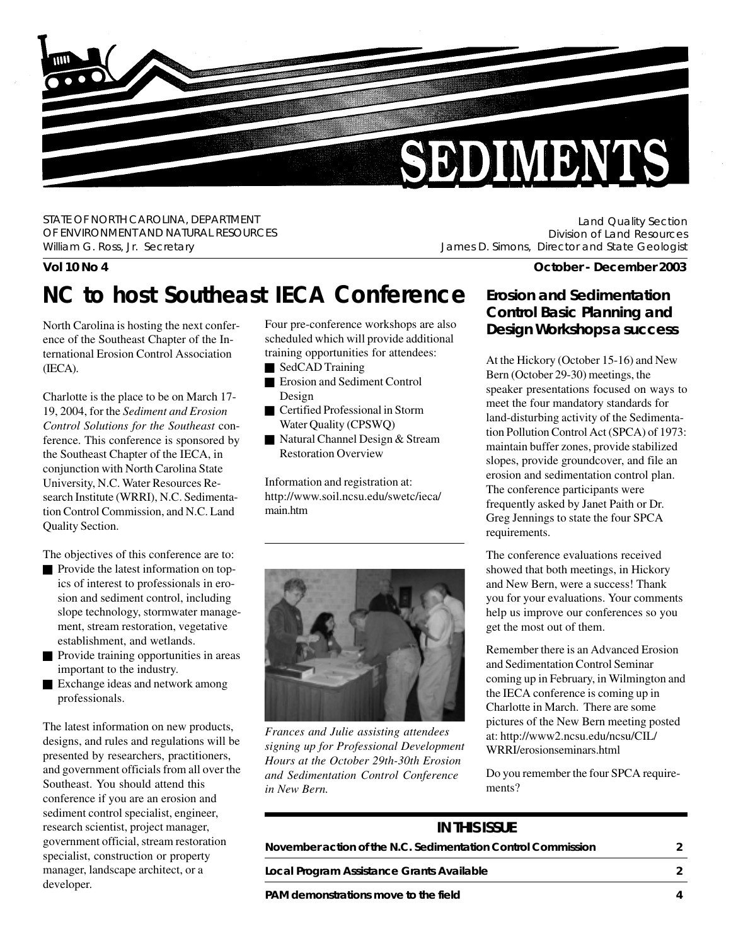

STATE OF NORTH CAROLINA, DEPARTMENT OF ENVIRONMENT AND NATURAL RESOURCES William G. Ross, Jr. Secretary

Land Quality Section Division of Land Resources James D. Simons, Director and State Geologist

# **NC to host Southeast IECA Conference Erosion and Sedimentation**

North Carolina is hosting the next conference of the Southeast Chapter of the International Erosion Control Association (IECA).

Charlotte is the place to be on March 17- 19, 2004, for the *Sediment and Erosion Control Solutions for the Southeast* conference. This conference is sponsored by the Southeast Chapter of the IECA, in conjunction with North Carolina State University, N.C. Water Resources Research Institute (WRRI), N.C. Sedimentation Control Commission, and N.C. Land Quality Section.

The objectives of this conference are to:

- **Provide the latest information on top**ics of interest to professionals in erosion and sediment control, including slope technology, stormwater management, stream restoration, vegetative establishment, and wetlands.
- Provide training opportunities in areas important to the industry.
- Exchange ideas and network among professionals.

The latest information on new products, designs, and rules and regulations will be presented by researchers, practitioners, and government officials from all over the Southeast. You should attend this conference if you are an erosion and sediment control specialist, engineer, research scientist, project manager, government official, stream restoration specialist, construction or property manager, landscape architect, or a developer.

Four pre-conference workshops are also scheduled which will provide additional training opportunities for attendees:

- SedCAD Training
- Erosion and Sediment Control Design
- Certified Professional in Storm Water Quality (CPSWQ)
- Natural Channel Design & Stream Restoration Overview

Information and registration at: http://www.soil.ncsu.edu/swetc/ieca/ main.htm



*Frances and Julie assisting attendees signing up for Professional Development Hours at the October 29th-30th Erosion and Sedimentation Control Conference in New Bern.*

#### **Vol 10 No 4 October - December 2003**

# **Control Basic Planning and Design Workshops a success**

At the Hickory (October 15-16) and New Bern (October 29-30) meetings, the speaker presentations focused on ways to meet the four mandatory standards for land-disturbing activity of the Sedimentation Pollution Control Act (SPCA) of 1973: maintain buffer zones, provide stabilized slopes, provide groundcover, and file an erosion and sedimentation control plan. The conference participants were frequently asked by Janet Paith or Dr. Greg Jennings to state the four SPCA requirements.

The conference evaluations received showed that both meetings, in Hickory and New Bern, were a success! Thank you for your evaluations. Your comments help us improve our conferences so you get the most out of them.

Remember there is an Advanced Erosion and Sedimentation Control Seminar coming up in February, in Wilmington and the IECA conference is coming up in Charlotte in March. There are some pictures of the New Bern meeting posted at: http://www2.ncsu.edu/ncsu/CIL/ WRRI/erosionseminars.html

Do you remember the four SPCA requirements?

### **IN THIS ISSUE**

| November action of the N.C. Sedimentation Control Commission |  |
|--------------------------------------------------------------|--|
|--------------------------------------------------------------|--|

**Local Program Assistance Grants Available 2**

**PAM demonstrations move to the field 4**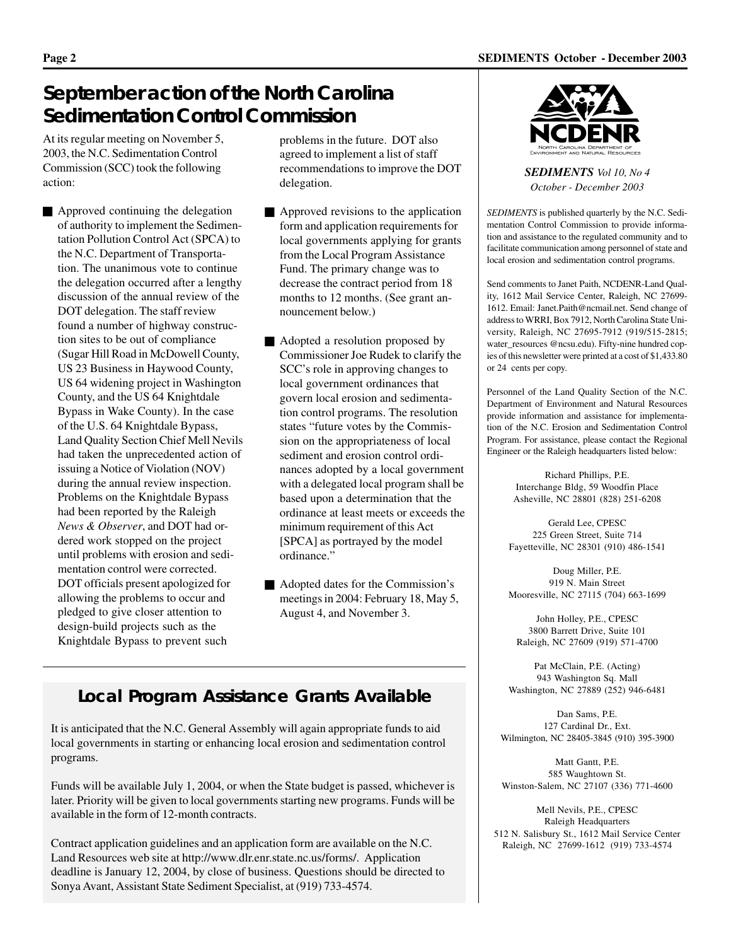# **September action of the North Carolina Sedimentation Control Commission**

At its regular meeting on November 5, 2003, the N.C. Sedimentation Control Commission (SCC) took the following action:

Approved continuing the delegation of authority to implement the Sedimentation Pollution Control Act (SPCA) to the N.C. Department of Transportation. The unanimous vote to continue the delegation occurred after a lengthy discussion of the annual review of the DOT delegation. The staff review found a number of highway construction sites to be out of compliance (Sugar Hill Road in McDowell County, US 23 Business in Haywood County, US 64 widening project in Washington County, and the US 64 Knightdale Bypass in Wake County). In the case of the U.S. 64 Knightdale Bypass, Land Quality Section Chief Mell Nevils had taken the unprecedented action of issuing a Notice of Violation (NOV) during the annual review inspection. Problems on the Knightdale Bypass had been reported by the Raleigh *News & Observer*, and DOT had ordered work stopped on the project until problems with erosion and sedimentation control were corrected. DOT officials present apologized for allowing the problems to occur and pledged to give closer attention to design-build projects such as the Knightdale Bypass to prevent such

problems in the future. DOT also agreed to implement a list of staff recommendations to improve the DOT delegation.

- Approved revisions to the application form and application requirements for local governments applying for grants from the Local Program Assistance Fund. The primary change was to decrease the contract period from 18 months to 12 months. (See grant announcement below.)
- Adopted a resolution proposed by Commissioner Joe Rudek to clarify the SCC's role in approving changes to local government ordinances that govern local erosion and sedimentation control programs. The resolution states "future votes by the Commission on the appropriateness of local sediment and erosion control ordinances adopted by a local government with a delegated local program shall be based upon a determination that the ordinance at least meets or exceeds the minimum requirement of this Act [SPCA] as portrayed by the model ordinance."
- Adopted dates for the Commission's meetings in 2004: February 18, May 5, August 4, and November 3.

## **Local Program Assistance Grants Available**

It is anticipated that the N.C. General Assembly will again appropriate funds to aid local governments in starting or enhancing local erosion and sedimentation control programs.

Funds will be available July 1, 2004, or when the State budget is passed, whichever is later. Priority will be given to local governments starting new programs. Funds will be available in the form of 12-month contracts.

Contract application guidelines and an application form are available on the N.C. Land Resources web site at http://www.dlr.enr.state.nc.us/forms/. Application deadline is January 12, 2004, by close of business. Questions should be directed to Sonya Avant, Assistant State Sediment Specialist, at (919) 733-4574.



*SEDIMENTS Vol 10, No 4 October - December 2003*

*SEDIMENTS* is published quarterly by the N.C. Sedimentation Control Commission to provide information and assistance to the regulated community and to facilitate communication among personnel of state and local erosion and sedimentation control programs.

Send comments to Janet Paith, NCDENR-Land Quality, 1612 Mail Service Center, Raleigh, NC 27699- 1612. Email: Janet.Paith@ncmail.net. Send change of address to WRRI, Box 7912, North Carolina State University, Raleigh, NC 27695-7912 (919/515-2815; water\_resources @ncsu.edu). Fifty-nine hundred copies of this newsletter were printed at a cost of \$1,433.80 or 24 cents per copy.

Personnel of the Land Quality Section of the N.C. Department of Environment and Natural Resources provide information and assistance for implementation of the N.C. Erosion and Sedimentation Control Program. For assistance, please contact the Regional Engineer or the Raleigh headquarters listed below:

> Richard Phillips, P.E. Interchange Bldg, 59 Woodfin Place Asheville, NC 28801 (828) 251-6208

Gerald Lee, CPESC 225 Green Street, Suite 714 Fayetteville, NC 28301 (910) 486-1541

Doug Miller, P.E. 919 N. Main Street Mooresville, NC 27115 (704) 663-1699

John Holley, P.E., CPESC 3800 Barrett Drive, Suite 101 Raleigh, NC 27609 (919) 571-4700

Pat McClain, P.E. (Acting) 943 Washington Sq. Mall Washington, NC 27889 (252) 946-6481

Dan Sams, P.E. 127 Cardinal Dr., Ext. Wilmington, NC 28405-3845 (910) 395-3900

Matt Gantt, P.E. 585 Waughtown St. Winston-Salem, NC 27107 (336) 771-4600

Mell Nevils, P.E., CPESC Raleigh Headquarters 512 N. Salisbury St., 1612 Mail Service Center Raleigh, NC 27699-1612 (919) 733-4574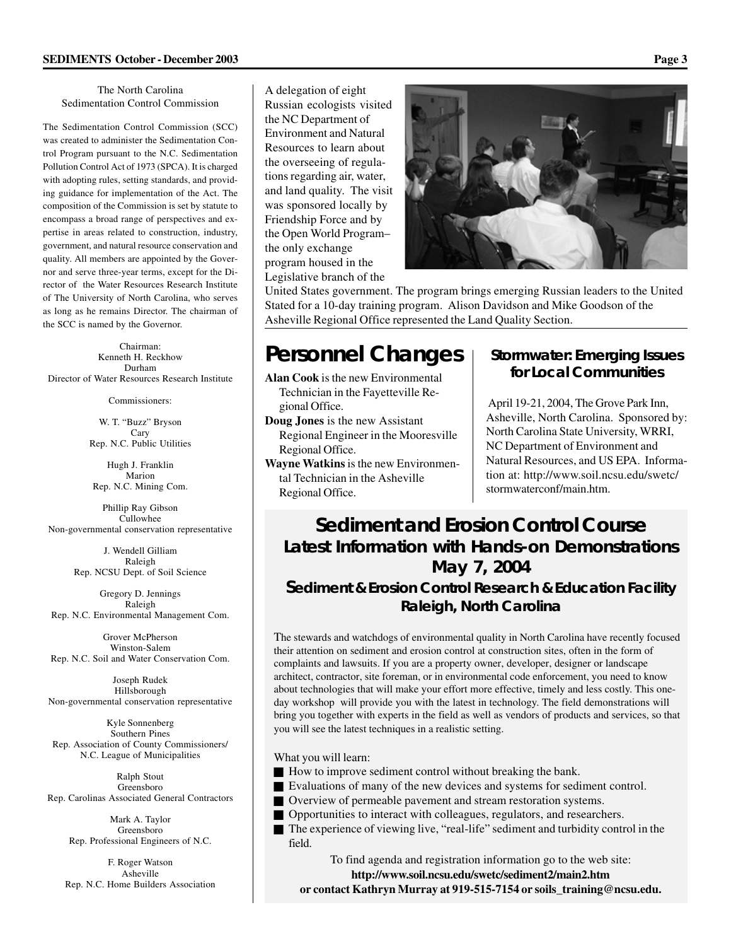#### The North Carolina Sedimentation Control Commission

The Sedimentation Control Commission (SCC) was created to administer the Sedimentation Control Program pursuant to the N.C. Sedimentation Pollution Control Act of 1973 (SPCA). It is charged with adopting rules, setting standards, and providing guidance for implementation of the Act. The composition of the Commission is set by statute to encompass a broad range of perspectives and expertise in areas related to construction, industry, government, and natural resource conservation and quality. All members are appointed by the Governor and serve three-year terms, except for the Director of the Water Resources Research Institute of The University of North Carolina, who serves as long as he remains Director. The chairman of the SCC is named by the Governor.

Chairman: Kenneth H. Reckhow Durham Director of Water Resources Research Institute

Commissioners:

W. T. "Buzz" Bryson Cary Rep. N.C. Public Utilities

Hugh J. Franklin Marion Rep. N.C. Mining Com.

Phillip Ray Gibson Cullowhee Non-governmental conservation representative

> J. Wendell Gilliam Raleigh Rep. NCSU Dept. of Soil Science

Gregory D. Jennings Raleigh Rep. N.C. Environmental Management Com.

Grover McPherson Winston-Salem Rep. N.C. Soil and Water Conservation Com.

Joseph Rudek Hillsborough Non-governmental conservation representative

Kyle Sonnenberg Southern Pines Rep. Association of County Commissioners/ N.C. League of Municipalities

Ralph Stout Greensboro Rep. Carolinas Associated General Contractors

Mark A. Taylor Greensboro Rep. Professional Engineers of N.C.

F. Roger Watson Asheville Rep. N.C. Home Builders Association

A delegation of eight Russian ecologists visited the NC Department of Environment and Natural Resources to learn about the overseeing of regulations regarding air, water, and land quality. The visit was sponsored locally by Friendship Force and by the Open World Program– the only exchange program housed in the Legislative branch of the



United States government. The program brings emerging Russian leaders to the United Stated for a 10-day training program. Alison Davidson and Mike Goodson of the Asheville Regional Office represented the Land Quality Section.

# **Personnel Changes**

**Alan Cook** is the new Environmental Technician in the Fayetteville Regional Office.

- **Doug Jones** is the new Assistant Regional Engineer in the Mooresville Regional Office.
- **Wayne Watkins** is the new Environmental Technician in the Asheville Regional Office.

### **Stormwater: Emerging Issues for Local Communities**

 April 19-21, 2004, The Grove Park Inn, Asheville, North Carolina. Sponsored by: North Carolina State University, WRRI, NC Department of Environment and Natural Resources, and US EPA. Information at: http://www.soil.ncsu.edu/swetc/ stormwaterconf/main.htm.

# **Sediment and Erosion Control Course Latest Information with Hands-on Demonstrations May 7, 2004**

### **Sediment & Erosion Control Research & Education Facility Raleigh, North Carolina**

The stewards and watchdogs of environmental quality in North Carolina have recently focused their attention on sediment and erosion control at construction sites, often in the form of complaints and lawsuits. If you are a property owner, developer, designer or landscape architect, contractor, site foreman, or in environmental code enforcement, you need to know about technologies that will make your effort more effective, timely and less costly. This oneday workshop will provide you with the latest in technology. The field demonstrations will bring you together with experts in the field as well as vendors of products and services, so that you will see the latest techniques in a realistic setting.

What you will learn:

- How to improve sediment control without breaking the bank.
- Evaluations of many of the new devices and systems for sediment control.
- Overview of permeable pavement and stream restoration systems.
- Opportunities to interact with colleagues, regulators, and researchers.
- The experience of viewing live, "real-life" sediment and turbidity control in the field.

To find agenda and registration information go to the web site:

**http://www.soil.ncsu.edu/swetc/sediment2/main2.htm or contact Kathryn Murray at 919-515-7154 or soils\_training@ncsu.edu.**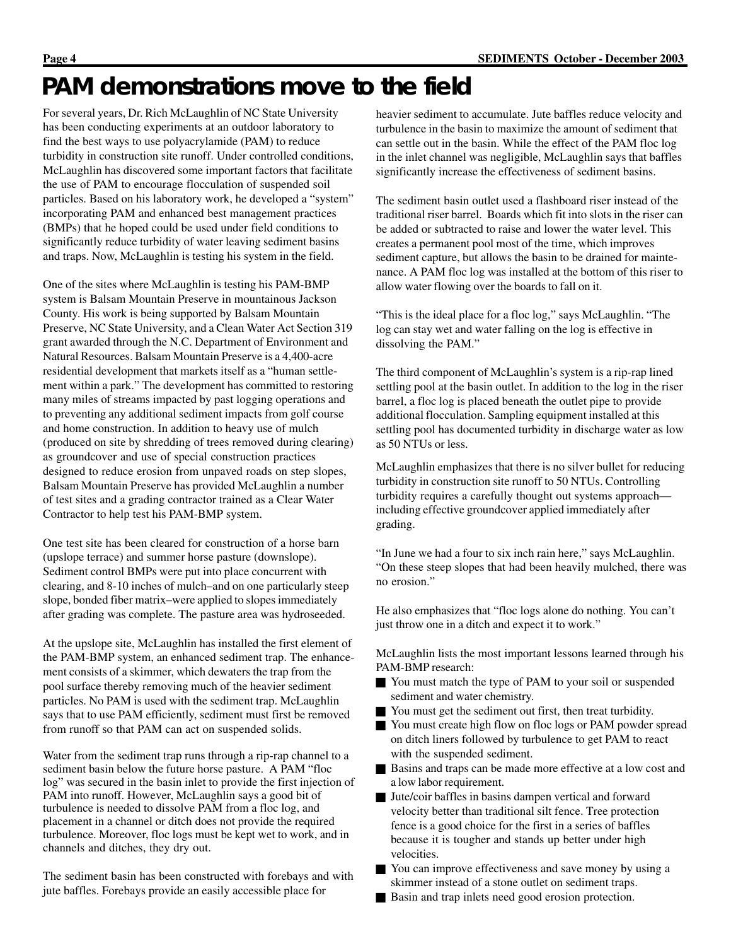# **PAM demonstrations move to the field**

For several years, Dr. Rich McLaughlin of NC State University has been conducting experiments at an outdoor laboratory to find the best ways to use polyacrylamide (PAM) to reduce turbidity in construction site runoff. Under controlled conditions, McLaughlin has discovered some important factors that facilitate the use of PAM to encourage flocculation of suspended soil particles. Based on his laboratory work, he developed a "system" incorporating PAM and enhanced best management practices (BMPs) that he hoped could be used under field conditions to significantly reduce turbidity of water leaving sediment basins and traps. Now, McLaughlin is testing his system in the field.

One of the sites where McLaughlin is testing his PAM-BMP system is Balsam Mountain Preserve in mountainous Jackson County. His work is being supported by Balsam Mountain Preserve, NC State University, and a Clean Water Act Section 319 grant awarded through the N.C. Department of Environment and Natural Resources. Balsam Mountain Preserve is a 4,400-acre residential development that markets itself as a "human settlement within a park." The development has committed to restoring many miles of streams impacted by past logging operations and to preventing any additional sediment impacts from golf course and home construction. In addition to heavy use of mulch (produced on site by shredding of trees removed during clearing) as groundcover and use of special construction practices designed to reduce erosion from unpaved roads on step slopes, Balsam Mountain Preserve has provided McLaughlin a number of test sites and a grading contractor trained as a Clear Water Contractor to help test his PAM-BMP system.

One test site has been cleared for construction of a horse barn (upslope terrace) and summer horse pasture (downslope). Sediment control BMPs were put into place concurrent with clearing, and 8-10 inches of mulch–and on one particularly steep slope, bonded fiber matrix–were applied to slopes immediately after grading was complete. The pasture area was hydroseeded.

At the upslope site, McLaughlin has installed the first element of the PAM-BMP system, an enhanced sediment trap. The enhancement consists of a skimmer, which dewaters the trap from the pool surface thereby removing much of the heavier sediment particles. No PAM is used with the sediment trap. McLaughlin says that to use PAM efficiently, sediment must first be removed from runoff so that PAM can act on suspended solids.

Water from the sediment trap runs through a rip-rap channel to a sediment basin below the future horse pasture. A PAM "floc log" was secured in the basin inlet to provide the first injection of PAM into runoff. However, McLaughlin says a good bit of turbulence is needed to dissolve PAM from a floc log, and placement in a channel or ditch does not provide the required turbulence. Moreover, floc logs must be kept wet to work, and in channels and ditches, they dry out.

The sediment basin has been constructed with forebays and with jute baffles. Forebays provide an easily accessible place for

heavier sediment to accumulate. Jute baffles reduce velocity and turbulence in the basin to maximize the amount of sediment that can settle out in the basin. While the effect of the PAM floc log in the inlet channel was negligible, McLaughlin says that baffles significantly increase the effectiveness of sediment basins.

The sediment basin outlet used a flashboard riser instead of the traditional riser barrel. Boards which fit into slots in the riser can be added or subtracted to raise and lower the water level. This creates a permanent pool most of the time, which improves sediment capture, but allows the basin to be drained for maintenance. A PAM floc log was installed at the bottom of this riser to allow water flowing over the boards to fall on it.

"This is the ideal place for a floc log," says McLaughlin. "The log can stay wet and water falling on the log is effective in dissolving the PAM."

The third component of McLaughlin's system is a rip-rap lined settling pool at the basin outlet. In addition to the log in the riser barrel, a floc log is placed beneath the outlet pipe to provide additional flocculation. Sampling equipment installed at this settling pool has documented turbidity in discharge water as low as 50 NTUs or less.

McLaughlin emphasizes that there is no silver bullet for reducing turbidity in construction site runoff to 50 NTUs. Controlling turbidity requires a carefully thought out systems approach including effective groundcover applied immediately after grading.

"In June we had a four to six inch rain here," says McLaughlin. "On these steep slopes that had been heavily mulched, there was no erosion."

He also emphasizes that "floc logs alone do nothing. You can't just throw one in a ditch and expect it to work."

McLaughlin lists the most important lessons learned through his PAM-BMP research:

- You must match the type of PAM to your soil or suspended sediment and water chemistry.
- You must get the sediment out first, then treat turbidity.
- You must create high flow on floc logs or PAM powder spread on ditch liners followed by turbulence to get PAM to react with the suspended sediment.
- Basins and traps can be made more effective at a low cost and a low labor requirement.
- Jute/coir baffles in basins dampen vertical and forward velocity better than traditional silt fence. Tree protection fence is a good choice for the first in a series of baffles because it is tougher and stands up better under high velocities.
- You can improve effectiveness and save money by using a skimmer instead of a stone outlet on sediment traps.
- Basin and trap inlets need good erosion protection.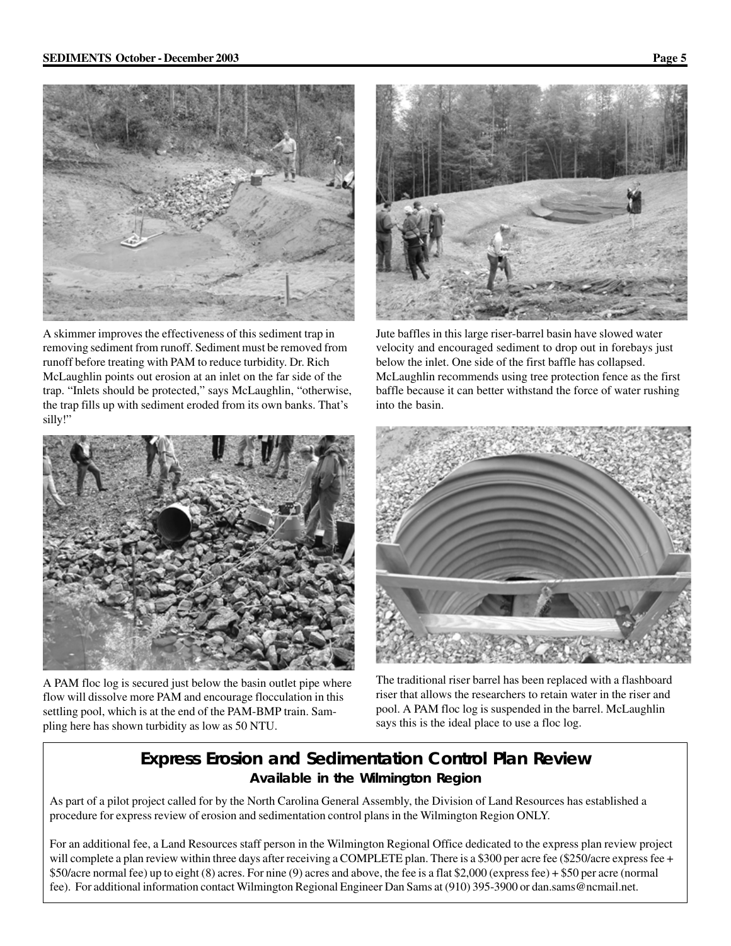



A skimmer improves the effectiveness of this sediment trap in removing sediment from runoff. Sediment must be removed from runoff before treating with PAM to reduce turbidity. Dr. Rich McLaughlin points out erosion at an inlet on the far side of the trap. "Inlets should be protected," says McLaughlin, "otherwise, the trap fills up with sediment eroded from its own banks. That's silly!"



A PAM floc log is secured just below the basin outlet pipe where flow will dissolve more PAM and encourage flocculation in this settling pool, which is at the end of the PAM-BMP train. Sampling here has shown turbidity as low as 50 NTU.



Jute baffles in this large riser-barrel basin have slowed water velocity and encouraged sediment to drop out in forebays just below the inlet. One side of the first baffle has collapsed. McLaughlin recommends using tree protection fence as the first baffle because it can better withstand the force of water rushing into the basin.



The traditional riser barrel has been replaced with a flashboard riser that allows the researchers to retain water in the riser and pool. A PAM floc log is suspended in the barrel. McLaughlin says this is the ideal place to use a floc log.

### **Express Erosion and Sedimentation Control Plan Review Available in the Wilmington Region**

As part of a pilot project called for by the North Carolina General Assembly, the Division of Land Resources has established a procedure for express review of erosion and sedimentation control plans in the Wilmington Region ONLY.

For an additional fee, a Land Resources staff person in the Wilmington Regional Office dedicated to the express plan review project will complete a plan review within three days after receiving a COMPLETE plan. There is a \$300 per acre fee (\$250/acre express fee + \$50/acre normal fee) up to eight (8) acres. For nine (9) acres and above, the fee is a flat \$2,000 (express fee) + \$50 per acre (normal fee). For additional information contact Wilmington Regional Engineer Dan Sams at (910) 395-3900 or dan.sams@ncmail.net.